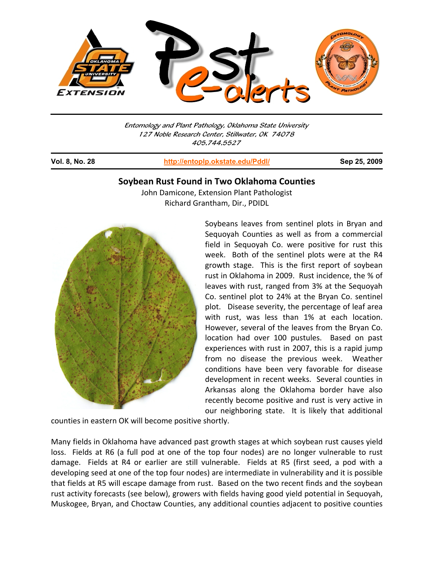

Entomology and Plant Pathology, Oklahoma State University 127 Noble Research Center, Stillwater, OK 74078 405.744.5527

j

**Vol. 8, No. 28 http://entoplp.okstate.edu/Pddl/ Sep 25, 2009**

## **Soybean Rust Found in Two Oklahoma Counties**

John Damicone, Extension Plant Pathologist Richard Grantham, Dir., PDIDL



Soybeans leaves from sentinel plots in Bryan and Sequoyah Counties as well as from a commercial field in Sequoyah Co. were positive for rust this week. Both of the sentinel plots were at the R4 growth stage. This is the first report of soybean rust in Oklahoma in 2009. Rust incidence, the % of leaves with rust, ranged from 3% at the Sequoyah Co. sentinel plot to 24% at the Bryan Co. sentinel plot. Disease severity, the percentage of leaf area with rust, was less than 1% at each location. However, several of the leaves from the Bryan Co. location had over 100 pustules. Based on past experiences with rust in 2007, this is a rapid jump from no disease the previous week. Weather conditions have been very favorable for disease development in recent weeks. Several counties in Arkansas along the Oklahoma border have also recently become positive and rust is very active in our neighboring state. It is likely that additional

counties in eastern OK will become positive shortly.

Many fields in Oklahoma have advanced past growth stages at which soybean rust causes yield loss. Fields at R6 (a full pod at one of the top four nodes) are no longer vulnerable to rust damage. Fields at R4 or earlier are still vulnerable. Fields at R5 (first seed, a pod with a developing seed at one of the top four nodes) are intermediate in vulnerability and it is possible that fields at R5 will escape damage from rust. Based on the two recent finds and the soybean rust activity forecasts (see below), growers with fields having good yield potential in Sequoyah, Muskogee, Bryan, and Choctaw Counties, any additional counties adjacent to positive counties